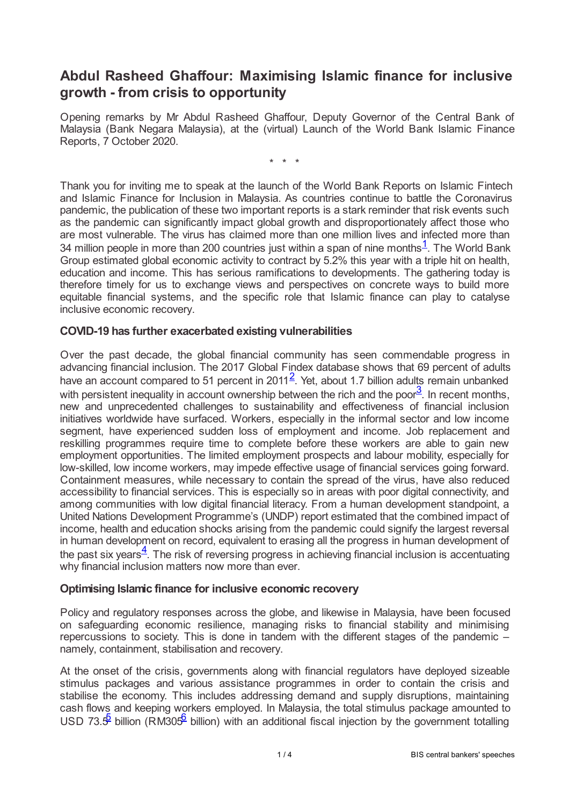## **Abdul Rasheed Ghaffour: Maximising Islamic finance for inclusive growth - from crisis to opportunity**

Opening remarks by Mr Abdul Rasheed Ghaffour, Deputy Governor of the Central Bank of Malaysia (Bank Negara Malaysia), at the (virtual) Launch of the World Bank Islamic Finance Reports, 7 October 2020.

<span id="page-0-2"></span><span id="page-0-1"></span><span id="page-0-0"></span>\* \* \*

Thank you for inviting me to speak at the launch of the World Bank Reports on Islamic Fintech and Islamic Finance for Inclusion in Malaysia. As countries continue to battle the Coronavirus pandemic, the publication of these two important reports is a stark reminder that risk events such as the pandemic can significantly impact global growth and disproportionately affect those who are most vulnerable. The virus has claimed more than one million lives and infected more than 34 million people in more than 200 countries just within a span of nine months<sup>[1](#page-3-0)</sup>. The World Bank Group estimated global economic activity to contract by 5.2% this year with a triple hit on health, education and income. This has serious ramifications to developments. The gathering today is therefore timely for us to exchange views and perspectives on concrete ways to build more equitable financial systems, and the specific role that Islamic finance can play to catalyse inclusive economic recovery.

## **COVID-19 has further exacerbated existing vulnerabilities**

Over the past decade, the global financial community has seen commendable progress in advancing financial inclusion. The 2017 Global Findex database shows that 69 percent of adults have an account compared to 51 percent in [2](#page-3-1)011<sup>2</sup>. Yet, about 1.7 billion adults remain unbanked with persistent inequality in account ownership between the rich and the poor $\frac{3}{2}$  $\frac{3}{2}$  $\frac{3}{2}$ . In recent months, new and unprecedented challenges to sustainability and effectiveness of financial inclusion initiatives worldwide have surfaced. Workers, especially in the informal sector and low income segment, have experienced sudden loss of employment and income. Job replacement and reskilling programmes require time to complete before these workers are able to gain new employment opportunities. The limited employment prospects and labour mobility, especially for low-skilled, low income workers, may impede effective usage of financial services going forward. Containment measures, while necessary to contain the spread of the virus, have also reduced accessibility to financial services. This is especially so in areas with poor digital connectivity, and among communities with low digital financial literacy. From a human development standpoint, a United Nations Development Programme's (UNDP) report estimated that the combined impact of income, health and education shocks arising from the pandemic could signify the largest reversal in human development on record, equivalent to erasing all the progress in human development of the past six years $\frac{4}{3}$  $\frac{4}{3}$  $\frac{4}{3}$ . The risk of reversing progress in achieving financial inclusion is accentuating why financial inclusion matters now more than ever.

## <span id="page-0-3"></span>**Optimising Islamic finance for inclusive economic recovery**

Policy and regulatory responses across the globe, and likewise in Malaysia, have been focused on safeguarding economic resilience, managing risks to financial stability and minimising repercussions to society. This is done in tandem with the different stages of the pandemic – namely, containment, stabilisation and recovery.

<span id="page-0-5"></span><span id="page-0-4"></span>At the onset of the crisis, governments along with financial regulators have deployed sizeable stimulus packages and various assistance programmes in order to contain the crisis and stabilise the economy. This includes addressing demand and supply disruptions, maintaining cash flows and keeping workers employed. In Malaysia, the total stimulus package amounted to USD 73. $\frac{5}{5}$  $\frac{5}{5}$  $\frac{5}{5}$  billion (RM30 $5^6$  $5^6$  billion) with an additional fiscal injection by the government totalling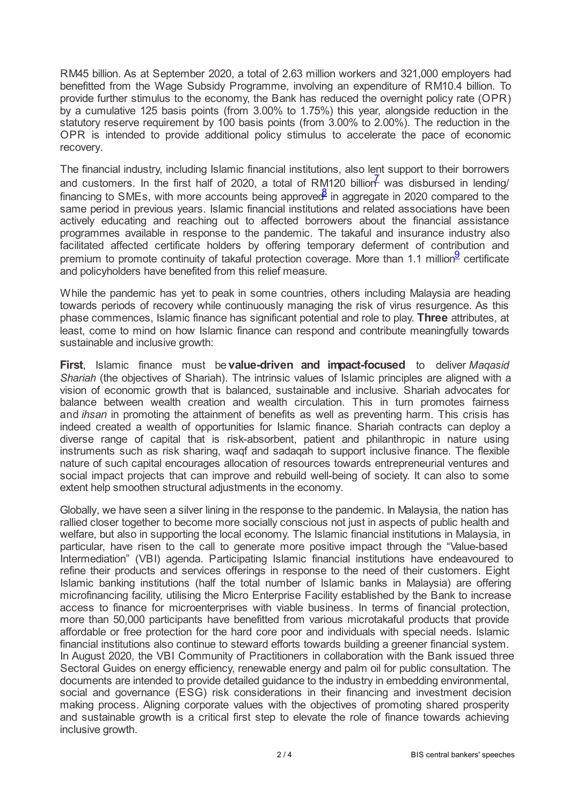RM45 billion. As at September 2020, a total of 2.63 million workers and 321,000 employers had benefitted from the Wage Subsidy Programme, involving an expenditure of RM10.4 billion. To provide further stimulus to the economy, the Bank has reduced the overnight policy rate (OPR) by a cumulative 125 basis points (from 3.00% to 1.75%) this year, alongside reduction in the statutory reserve requirement by 100 basis points (from 3.00% to 2.00%). The reduction in the OPR is intended to provide additional policy stimulus to accelerate the pace of economic recovery.

<span id="page-1-1"></span><span id="page-1-0"></span>The financial industry, including Islamic financial institutions, also lent support to their borrowers and customers. In the first half of 2020, a total of RM120 billion was disbursed in lending/ financing to SMEs, with more accounts being approved in aggregate in 2020 compared to the same period in previous years. Islamic financial institutions and related associations have been actively educating and reaching out to affected borrowers about the financial assistance programmes available in response to the pandemic. The takaful and insurance industry also facilitated affected certificate holders by offering temporary deferment of contribution and premium to promote continuity of takaful protection coverage. More than 1.1 million<sup>[9](#page-3-8)</sup> certificate and policyholders have benefited from this relief measure.

<span id="page-1-2"></span>While the pandemic has yet to peak in some countries, others including Malaysia are heading towards periods of recovery while continuously managing the risk of virus resurgence. As this phase commences, Islamic finance has significant potential and role to play. **Three** attributes, at least, come to mind on how Islamic finance can respond and contribute meaningfully towards sustainable and inclusive growth:

**First**, Islamic finance must be **value-driven and impact-focused** to deliver *Maqasid Shariah* (the objectives of Shariah). The intrinsic values of Islamic principles are aligned with a vision of economic growth that is balanced, sustainable and inclusive. Shariah advocates for balance between wealth creation and wealth circulation. This in turn promotes fairness and *ihsan* in promoting the attainment of benefits as well as preventing harm. This crisis has indeed created a wealth of opportunities for Islamic finance. Shariah contracts can deploy a diverse range of capital that is risk-absorbent, patient and philanthropic in nature using instruments such as risk sharing, waqf and sadaqah to support inclusive finance. The flexible nature of such capital encourages allocation of resources towards entrepreneurial ventures and social impact projects that can improve and rebuild well-being of society. It can also to some extent help smoothen structural adjustments in the economy.

Globally, we have seen a silver lining in the response to the pandemic. In Malaysia, the nation has rallied closer together to become more socially conscious not just in aspects of public health and welfare, but also in supporting the local economy. The Islamic financial institutions in Malaysia, in particular, have risen to the call to generate more positive impact through the "Value-based Intermediation" (VBI) agenda. Participating Islamic financial institutions have endeavoured to refine their products and services offerings in response to the need of their customers. Eight Islamic banking institutions (half the total number of Islamic banks in Malaysia) are offering microfinancing facility, utilising the Micro Enterprise Facility established by the Bank to increase access to finance for microenterprises with viable business. In terms of financial protection, more than 50,000 participants have benefitted from various microtakaful products that provide affordable or free protection for the hard core poor and individuals with special needs. Islamic financial institutions also continue to steward efforts towards building a greener financial system. In August 2020, the VBI Community of Practitioners in collaboration with the Bank issued three Sectoral Guides on energy efficiency, renewable energy and palm oil for public consultation. The documents are intended to provide detailed guidance to the industry in embedding environmental, social and governance (ESG) risk considerations in their financing and investment decision making process. Aligning corporate values with the objectives of promoting shared prosperity and sustainable growth is a critical first step to elevate the role of finance towards achieving inclusive growth.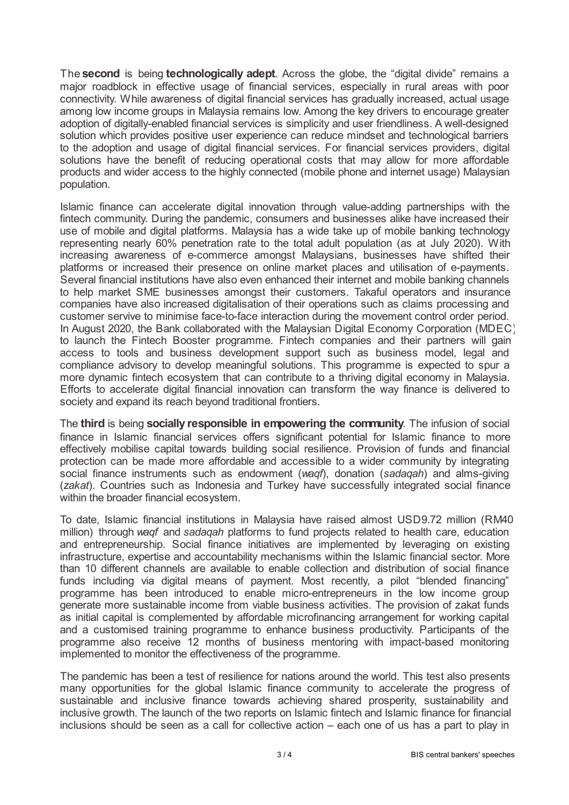The **second** is being **technologically adept**. Across the globe, the "digital divide" remains a major roadblock in effective usage of financial services, especially in rural areas with poor connectivity. While awareness of digital financial services has gradually increased, actual usage among low income groups in Malaysia remains low. Among the key drivers to encourage greater adoption of digitally-enabled financial services is simplicity and user friendliness. A well-designed solution which provides positive user experience can reduce mindset and technological barriers to the adoption and usage of digital financial services. For financial services providers, digital solutions have the benefit of reducing operational costs that may allow for more affordable products and wider access to the highly connected (mobile phone and internet usage) Malaysian population.

Islamic finance can accelerate digital innovation through value-adding partnerships with the fintech community. During the pandemic, consumers and businesses alike have increased their use of mobile and digital platforms. Malaysia has a wide take up of mobile banking technology representing nearly 60% penetration rate to the total adult population (as at July 2020). With increasing awareness of e-commerce amongst Malaysians, businesses have shifted their platforms or increased their presence on online market places and utilisation of e-payments. Several financial institutions have also even enhanced their internet and mobile banking channels to help market SME businesses amongst their customers. Takaful operators and insurance companies have also increased digitalisation of their operations such as claims processing and customer servive to minimise face-to-face interaction during the movement control order period. In August 2020, the Bank collaborated with the Malaysian Digital Economy Corporation (MDEC) to launch the Fintech Booster programme. Fintech companies and their partners will gain access to tools and business development support such as business model, legal and compliance advisory to develop meaningful solutions. This programme is expected to spur a more dynamic fintech ecosystem that can contribute to a thriving digital economy in Malaysia. Efforts to accelerate digital financial innovation can transform the way finance is delivered to society and expand its reach beyond traditional frontiers.

The **third** is being **socially responsible in empowering the community**. The infusion of social finance in Islamic financial services offers significant potential for Islamic finance to more effectively mobilise capital towards building social resilience. Provision of funds and financial protection can be made more affordable and accessible to a wider community by integrating social finance instruments such as endowment (*waqf*), donation (*sadaqah*) and alms-giving (*zakat*). Countries such as Indonesia and Turkey have successfully integrated social finance within the broader financial ecosystem.

To date, Islamic financial institutions in Malaysia have raised almost USD9.72 million (RM40 million) through *waqf* and *sadaqah* platforms to fund projects related to health care, education and entrepreneurship. Social finance initiatives are implemented by leveraging on existing infrastructure, expertise and accountability mechanisms within the Islamic financial sector. More than 10 different channels are available to enable collection and distribution of social finance funds including via digital means of payment. Most recently, a pilot "blended financing" programme has been introduced to enable micro-entrepreneurs in the low income group generate more sustainable income from viable business activities. The provision of zakat funds as initial capital is complemented by affordable microfinancing arrangement for working capital and a customised training programme to enhance business productivity. Participants of the programme also receive 12 months of business mentoring with impact-based monitoring implemented to monitor the effectiveness of the programme.

The pandemic has been a test of resilience for nations around the world. This test also presents many opportunities for the global Islamic finance community to accelerate the progress of sustainable and inclusive finance towards achieving shared prosperity, sustainability and inclusive growth. The launch of the two reports on Islamic fintech and Islamic finance for financial inclusions should be seen as a call for collective action – each one of us has a part to play in